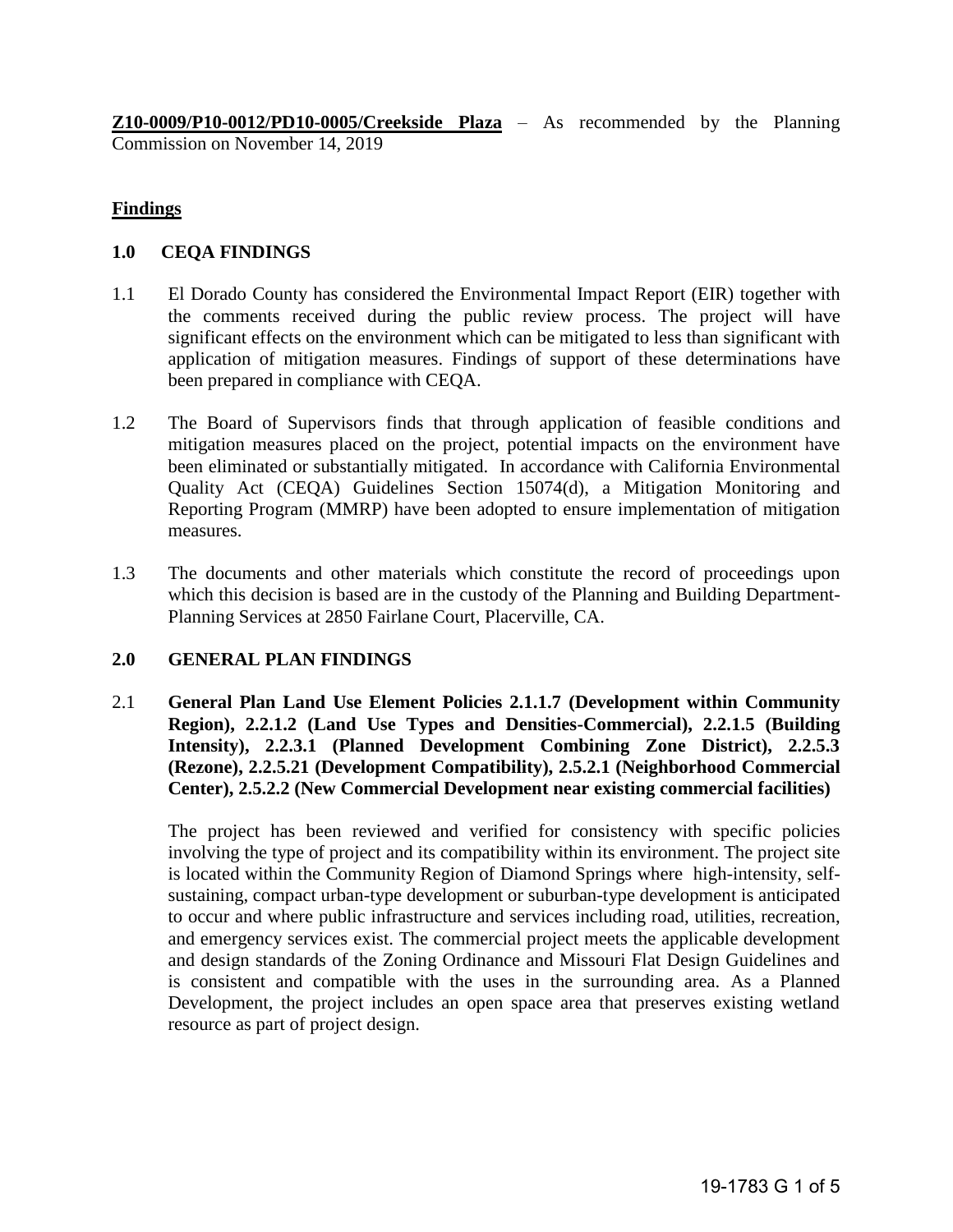**Z10-0009/P10-0012/PD10-0005/Creekside Plaza** – As recommended by the Planning Commission on November 14, 2019

#### **Findings**

#### **1.0 CEQA FINDINGS**

- 1.1 El Dorado County has considered the Environmental Impact Report (EIR) together with the comments received during the public review process. The project will have significant effects on the environment which can be mitigated to less than significant with application of mitigation measures. Findings of support of these determinations have been prepared in compliance with CEQA.
- 1.2 The Board of Supervisors finds that through application of feasible conditions and mitigation measures placed on the project, potential impacts on the environment have been eliminated or substantially mitigated. In accordance with California Environmental Quality Act (CEQA) Guidelines Section 15074(d), a Mitigation Monitoring and Reporting Program (MMRP) have been adopted to ensure implementation of mitigation measures.
- 1.3 The documents and other materials which constitute the record of proceedings upon which this decision is based are in the custody of the Planning and Building Department-Planning Services at 2850 Fairlane Court, Placerville, CA.

#### **2.0 GENERAL PLAN FINDINGS**

2.1 **General Plan Land Use Element Policies 2.1.1.7 (Development within Community Region), 2.2.1.2 (Land Use Types and Densities-Commercial), 2.2.1.5 (Building Intensity), 2.2.3.1 (Planned Development Combining Zone District), 2.2.5.3 (Rezone), 2.2.5.21 (Development Compatibility), 2.5.2.1 (Neighborhood Commercial Center), 2.5.2.2 (New Commercial Development near existing commercial facilities)** 

The project has been reviewed and verified for consistency with specific policies involving the type of project and its compatibility within its environment. The project site is located within the Community Region of Diamond Springs where high-intensity, selfsustaining, compact urban-type development or suburban-type development is anticipated to occur and where public infrastructure and services including road, utilities, recreation, and emergency services exist. The commercial project meets the applicable development and design standards of the Zoning Ordinance and Missouri Flat Design Guidelines and is consistent and compatible with the uses in the surrounding area. As a Planned Development, the project includes an open space area that preserves existing wetland resource as part of project design.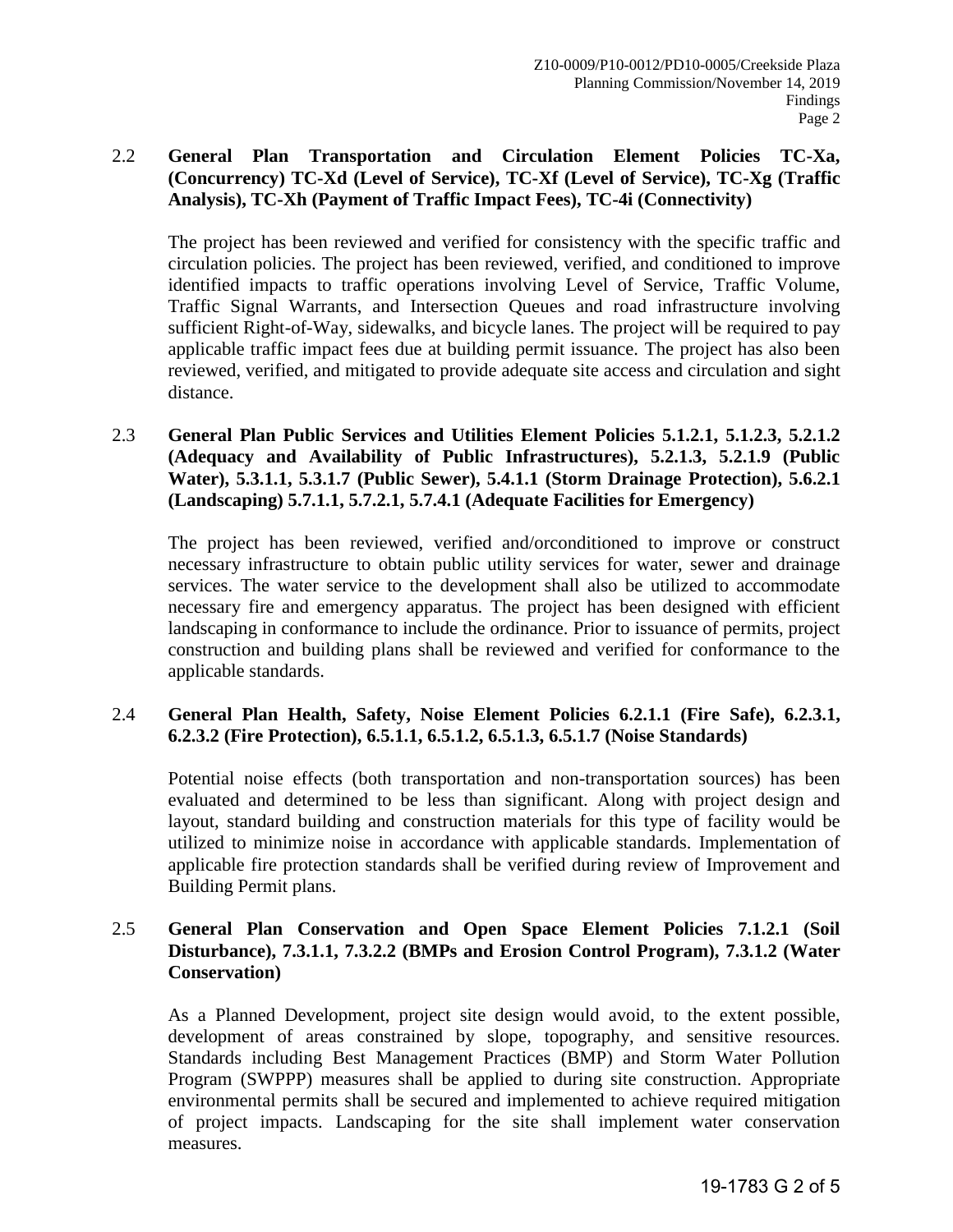# 2.2 **General Plan Transportation and Circulation Element Policies TC-Xa, (Concurrency) TC-Xd (Level of Service), TC-Xf (Level of Service), TC-Xg (Traffic Analysis), TC-Xh (Payment of Traffic Impact Fees), TC-4i (Connectivity)**

The project has been reviewed and verified for consistency with the specific traffic and circulation policies. The project has been reviewed, verified, and conditioned to improve identified impacts to traffic operations involving Level of Service, Traffic Volume, Traffic Signal Warrants, and Intersection Queues and road infrastructure involving sufficient Right-of-Way, sidewalks, and bicycle lanes. The project will be required to pay applicable traffic impact fees due at building permit issuance. The project has also been reviewed, verified, and mitigated to provide adequate site access and circulation and sight distance.

2.3 **General Plan Public Services and Utilities Element Policies 5.1.2.1, 5.1.2.3, 5.2.1.2 (Adequacy and Availability of Public Infrastructures), 5.2.1.3, 5.2.1.9 (Public Water), 5.3.1.1, 5.3.1.7 (Public Sewer), 5.4.1.1 (Storm Drainage Protection), 5.6.2.1 (Landscaping) 5.7.1.1, 5.7.2.1, 5.7.4.1 (Adequate Facilities for Emergency)** 

The project has been reviewed, verified and/orconditioned to improve or construct necessary infrastructure to obtain public utility services for water, sewer and drainage services. The water service to the development shall also be utilized to accommodate necessary fire and emergency apparatus. The project has been designed with efficient landscaping in conformance to include the ordinance. Prior to issuance of permits, project construction and building plans shall be reviewed and verified for conformance to the applicable standards.

## 2.4 **General Plan Health, Safety, Noise Element Policies 6.2.1.1 (Fire Safe), 6.2.3.1, 6.2.3.2 (Fire Protection), 6.5.1.1, 6.5.1.2, 6.5.1.3, 6.5.1.7 (Noise Standards)**

Potential noise effects (both transportation and non-transportation sources) has been evaluated and determined to be less than significant. Along with project design and layout, standard building and construction materials for this type of facility would be utilized to minimize noise in accordance with applicable standards. Implementation of applicable fire protection standards shall be verified during review of Improvement and Building Permit plans.

## 2.5 **General Plan Conservation and Open Space Element Policies 7.1.2.1 (Soil Disturbance), 7.3.1.1, 7.3.2.2 (BMPs and Erosion Control Program), 7.3.1.2 (Water Conservation)**

As a Planned Development, project site design would avoid, to the extent possible, development of areas constrained by slope, topography, and sensitive resources. Standards including Best Management Practices (BMP) and Storm Water Pollution Program (SWPPP) measures shall be applied to during site construction. Appropriate environmental permits shall be secured and implemented to achieve required mitigation of project impacts. Landscaping for the site shall implement water conservation measures.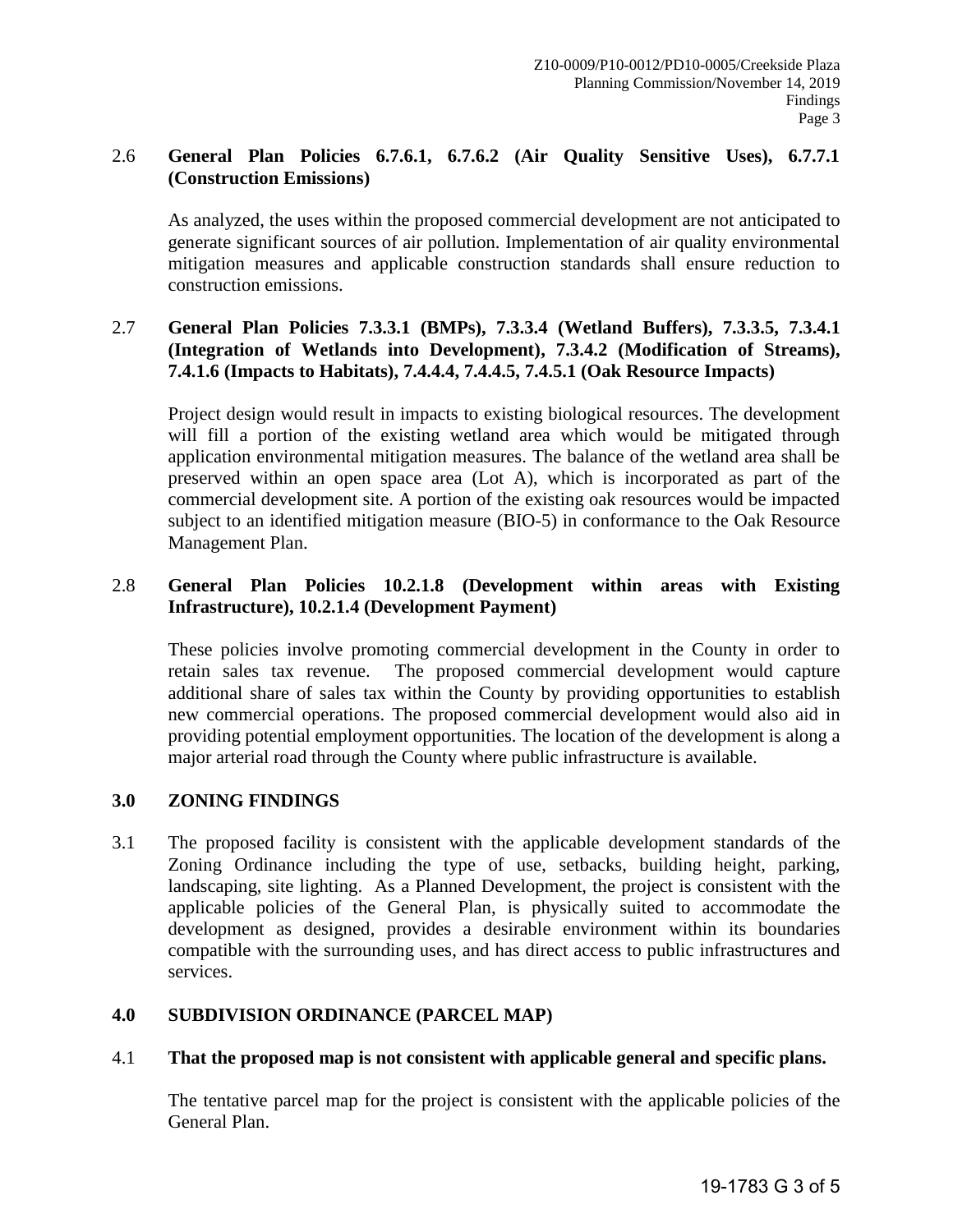# 2.6 **General Plan Policies 6.7.6.1, 6.7.6.2 (Air Quality Sensitive Uses), 6.7.7.1 (Construction Emissions)**

As analyzed, the uses within the proposed commercial development are not anticipated to generate significant sources of air pollution. Implementation of air quality environmental mitigation measures and applicable construction standards shall ensure reduction to construction emissions.

### 2.7 **General Plan Policies 7.3.3.1 (BMPs), 7.3.3.4 (Wetland Buffers), 7.3.3.5, 7.3.4.1 (Integration of Wetlands into Development), 7.3.4.2 (Modification of Streams), 7.4.1.6 (Impacts to Habitats), 7.4.4.4, 7.4.4.5, 7.4.5.1 (Oak Resource Impacts)**

Project design would result in impacts to existing biological resources. The development will fill a portion of the existing wetland area which would be mitigated through application environmental mitigation measures. The balance of the wetland area shall be preserved within an open space area (Lot A), which is incorporated as part of the commercial development site. A portion of the existing oak resources would be impacted subject to an identified mitigation measure (BIO-5) in conformance to the Oak Resource Management Plan.

# 2.8 **General Plan Policies 10.2.1.8 (Development within areas with Existing Infrastructure), 10.2.1.4 (Development Payment)**

These policies involve promoting commercial development in the County in order to retain sales tax revenue. The proposed commercial development would capture additional share of sales tax within the County by providing opportunities to establish new commercial operations. The proposed commercial development would also aid in providing potential employment opportunities. The location of the development is along a major arterial road through the County where public infrastructure is available.

## **3.0 ZONING FINDINGS**

3.1 The proposed facility is consistent with the applicable development standards of the Zoning Ordinance including the type of use, setbacks, building height, parking, landscaping, site lighting. As a Planned Development, the project is consistent with the applicable policies of the General Plan, is physically suited to accommodate the development as designed, provides a desirable environment within its boundaries compatible with the surrounding uses, and has direct access to public infrastructures and services.

## **4.0 SUBDIVISION ORDINANCE (PARCEL MAP)**

## 4.1 **That the proposed map is not consistent with applicable general and specific plans.**

The tentative parcel map for the project is consistent with the applicable policies of the General Plan.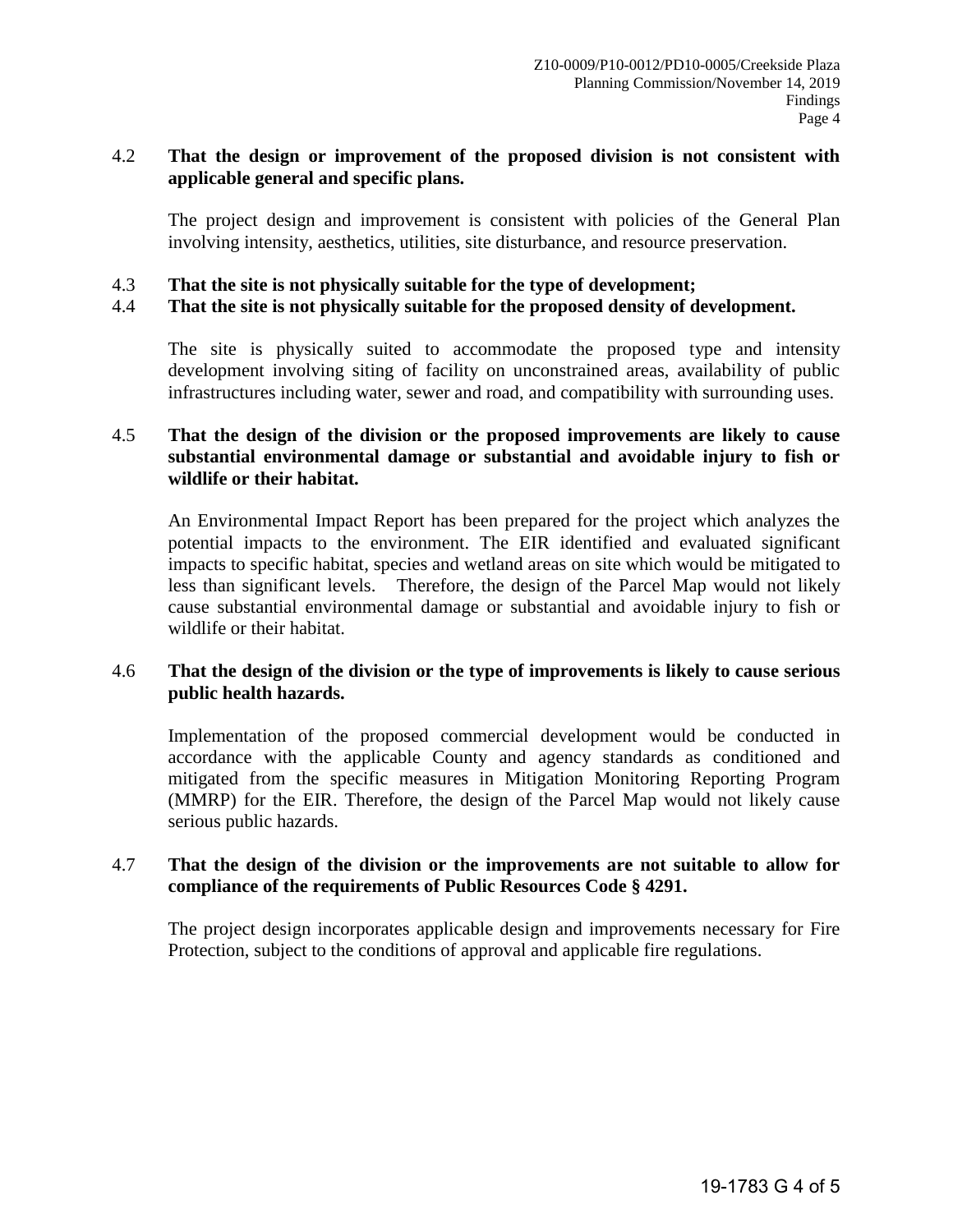#### 4.2 **That the design or improvement of the proposed division is not consistent with applicable general and specific plans.**

The project design and improvement is consistent with policies of the General Plan involving intensity, aesthetics, utilities, site disturbance, and resource preservation.

4.3 **That the site is not physically suitable for the type of development;** 

#### 4.4 **That the site is not physically suitable for the proposed density of development.**

The site is physically suited to accommodate the proposed type and intensity development involving siting of facility on unconstrained areas, availability of public infrastructures including water, sewer and road, and compatibility with surrounding uses.

#### 4.5 **That the design of the division or the proposed improvements are likely to cause substantial environmental damage or substantial and avoidable injury to fish or wildlife or their habitat.**

An Environmental Impact Report has been prepared for the project which analyzes the potential impacts to the environment. The EIR identified and evaluated significant impacts to specific habitat, species and wetland areas on site which would be mitigated to less than significant levels. Therefore, the design of the Parcel Map would not likely cause substantial environmental damage or substantial and avoidable injury to fish or wildlife or their habitat.

#### 4.6 **That the design of the division or the type of improvements is likely to cause serious public health hazards.**

Implementation of the proposed commercial development would be conducted in accordance with the applicable County and agency standards as conditioned and mitigated from the specific measures in Mitigation Monitoring Reporting Program (MMRP) for the EIR. Therefore, the design of the Parcel Map would not likely cause serious public hazards.

#### 4.7 **That the design of the division or the improvements are not suitable to allow for compliance of the requirements of Public Resources Code § 4291.**

The project design incorporates applicable design and improvements necessary for Fire Protection, subject to the conditions of approval and applicable fire regulations.